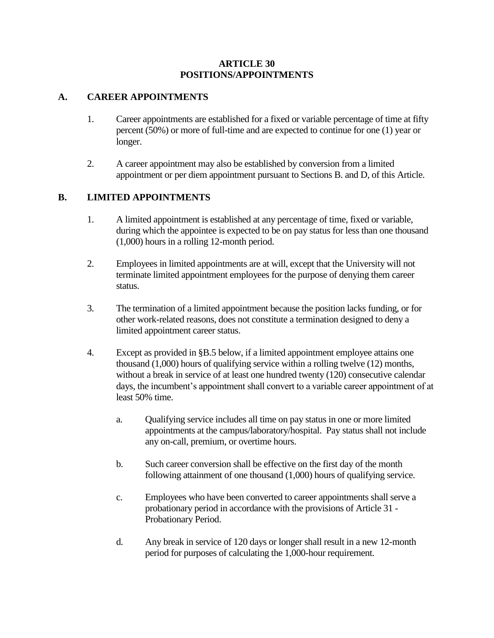#### **ARTICLE 30 POSITIONS/APPOINTMENTS**

### **A. CAREER APPOINTMENTS**

- 1. Career appointments are established for a fixed or variable percentage of time at fifty percent (50%) or more of full-time and are expected to continue for one (1) year or longer.
- 2. A career appointment may also be established by conversion from a limited appointment or per diem appointment pursuant to Sections B. and D, of this Article.

# **B. LIMITED APPOINTMENTS**

- 1. A limited appointment is established at any percentage of time, fixed or variable, during which the appointee is expected to be on pay status for less than one thousand (1,000) hours in a rolling 12-month period.
- 2. Employees in limited appointments are at will, except that the University will not terminate limited appointment employees for the purpose of denying them career status.
- 3. The termination of a limited appointment because the position lacks funding, or for other work-related reasons, does not constitute a termination designed to deny a limited appointment career status.
- 4. Except as provided in §B.5 below, if a limited appointment employee attains one thousand (1,000) hours of qualifying service within a rolling twelve (12) months, without a break in service of at least one hundred twenty (120) consecutive calendar days, the incumbent's appointment shall convert to a variable career appointment of at least 50% time.
	- a. Qualifying service includes all time on pay status in one or more limited appointments at the campus/laboratory/hospital. Pay status shall not include any on-call, premium, or overtime hours.
	- b. Such career conversion shall be effective on the first day of the month following attainment of one thousand (1,000) hours of qualifying service.
	- c. Employees who have been converted to career appointments shall serve a probationary period in accordance with the provisions of Article 31 - Probationary Period.
	- d. Any break in service of 120 days or longer shall result in a new 12-month period for purposes of calculating the 1,000-hour requirement.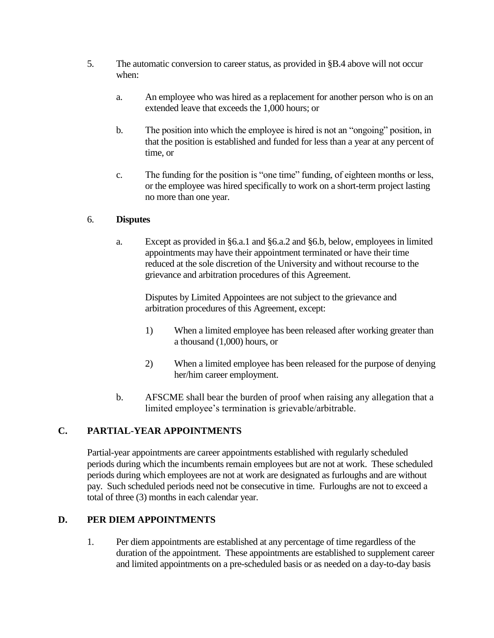- 5. The automatic conversion to career status, as provided in §B.4 above will not occur when:
	- a. An employee who was hired as a replacement for another person who is on an extended leave that exceeds the 1,000 hours; or
	- b. The position into which the employee is hired is not an "ongoing" position, in that the position is established and funded for less than a year at any percent of time, or
	- c. The funding for the position is "one time" funding, of eighteen months or less, or the employee was hired specifically to work on a short-term project lasting no more than one year.

#### 6. **Disputes**

a. Except as provided in §6.a.1 and §6.a.2 and §6.b, below, employees in limited appointments may have their appointment terminated or have their time reduced at the sole discretion of the University and without recourse to the grievance and arbitration procedures of this Agreement.

Disputes by Limited Appointees are not subject to the grievance and arbitration procedures of this Agreement, except:

- 1) When a limited employee has been released after working greater than a thousand (1,000) hours, or
- 2) When a limited employee has been released for the purpose of denying her/him career employment.
- b. AFSCME shall bear the burden of proof when raising any allegation that a limited employee's termination is grievable/arbitrable.

# **C. PARTIAL-YEAR APPOINTMENTS**

Partial-year appointments are career appointments established with regularly scheduled periods during which the incumbents remain employees but are not at work. These scheduled periods during which employees are not at work are designated as furloughs and are without pay. Such scheduled periods need not be consecutive in time. Furloughs are not to exceed a total of three (3) months in each calendar year.

# **D. PER DIEM APPOINTMENTS**

1. Per diem appointments are established at any percentage of time regardless of the duration of the appointment. These appointments are established to supplement career and limited appointments on a pre-scheduled basis or as needed on a day-to-day basis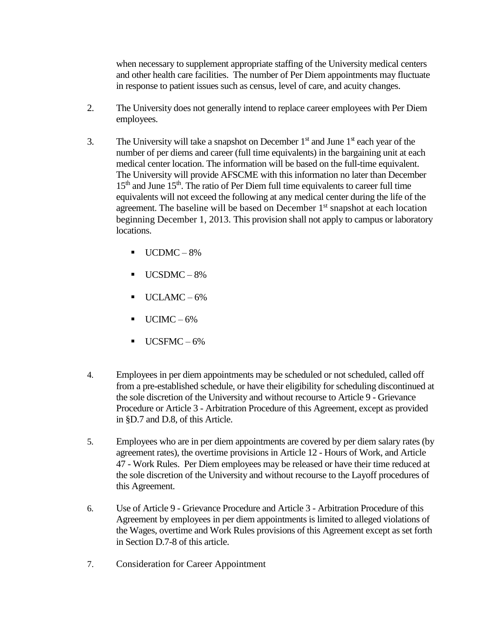when necessary to supplement appropriate staffing of the University medical centers and other health care facilities. The number of Per Diem appointments may fluctuate in response to patient issues such as census, level of care, and acuity changes.

- 2. The University does not generally intend to replace career employees with Per Diem employees.
- 3. The University will take a snapshot on December  $1<sup>st</sup>$  and June  $1<sup>st</sup>$  each year of the number of per diems and career (full time equivalents) in the bargaining unit at each medical center location. The information will be based on the full-time equivalent. The University will provide AFSCME with this information no later than December  $15<sup>th</sup>$  and June  $15<sup>th</sup>$ . The ratio of Per Diem full time equivalents to career full time equivalents will not exceed the following at any medical center during the life of the agreement. The baseline will be based on December 1<sup>st</sup> snapshot at each location beginning December 1, 2013. This provision shall not apply to campus or laboratory locations.
	- UCDMC 8%
	- UCSDMC 8%
	- $\blacksquare$  UCLAMC 6%
	- $UCIMC 6%$
	- $UCSFMC 6%$
- 4. Employees in per diem appointments may be scheduled or not scheduled, called off from a pre-established schedule, or have their eligibility for scheduling discontinued at the sole discretion of the University and without recourse to Article 9 - Grievance Procedure or Article 3 - Arbitration Procedure of this Agreement, except as provided in §D.7 and D.8, of this Article.
- 5. Employees who are in per diem appointments are covered by per diem salary rates (by agreement rates), the overtime provisions in Article 12 - Hours of Work, and Article 47 - Work Rules. Per Diem employees may be released or have their time reduced at the sole discretion of the University and without recourse to the Layoff procedures of this Agreement.
- 6. Use of Article 9 Grievance Procedure and Article 3 Arbitration Procedure of this Agreement by employees in per diem appointments is limited to alleged violations of the Wages, overtime and Work Rules provisions of this Agreement except as set forth in Section D.7-8 of this article.
- 7. Consideration for Career Appointment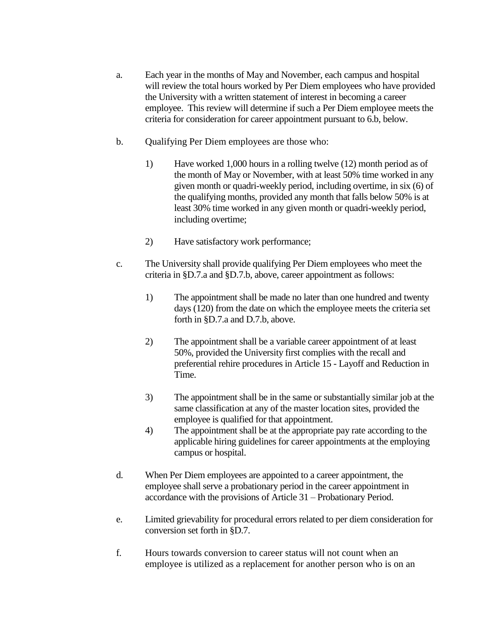- a. Each year in the months of May and November, each campus and hospital will review the total hours worked by Per Diem employees who have provided the University with a written statement of interest in becoming a career employee. This review will determine if such a Per Diem employee meets the criteria for consideration for career appointment pursuant to 6.b, below.
- b. Qualifying Per Diem employees are those who:
	- 1) Have worked 1,000 hours in a rolling twelve (12) month period as of the month of May or November, with at least 50% time worked in any given month or quadri-weekly period, including overtime, in six (6) of the qualifying months, provided any month that falls below 50% is at least 30% time worked in any given month or quadri-weekly period, including overtime;
	- 2) Have satisfactory work performance;
- c. The University shall provide qualifying Per Diem employees who meet the criteria in §D.7.a and §D.7.b, above, career appointment as follows:
	- 1) The appointment shall be made no later than one hundred and twenty days (120) from the date on which the employee meets the criteria set forth in §D.7.a and D.7.b, above.
	- 2) The appointment shall be a variable career appointment of at least 50%, provided the University first complies with the recall and preferential rehire procedures in Article 15 - Layoff and Reduction in Time.
	- 3) The appointment shall be in the same or substantially similar job at the same classification at any of the master location sites, provided the employee is qualified for that appointment.
	- 4) The appointment shall be at the appropriate pay rate according to the applicable hiring guidelines for career appointments at the employing campus or hospital.
- d. When Per Diem employees are appointed to a career appointment, the employee shall serve a probationary period in the career appointment in accordance with the provisions of Article 31 – Probationary Period.
- e. Limited grievability for procedural errors related to per diem consideration for conversion set forth in §D.7.
- f. Hours towards conversion to career status will not count when an employee is utilized as a replacement for another person who is on an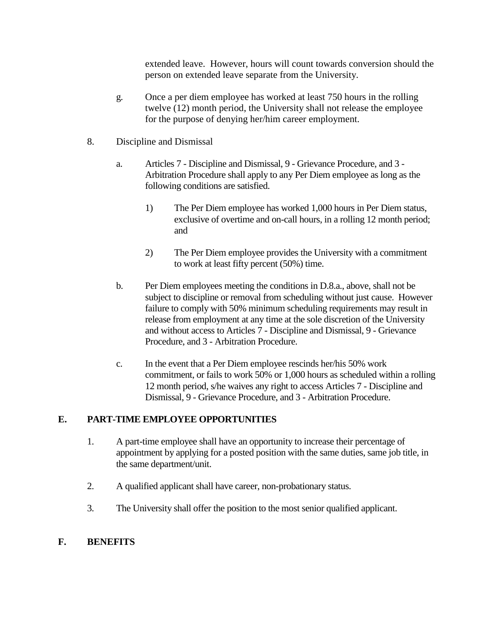extended leave. However, hours will count towards conversion should the person on extended leave separate from the University.

- g. Once a per diem employee has worked at least 750 hours in the rolling twelve (12) month period, the University shall not release the employee for the purpose of denying her/him career employment.
- 8. Discipline and Dismissal
	- a. Articles 7 Discipline and Dismissal, 9 Grievance Procedure, and 3 Arbitration Procedure shall apply to any Per Diem employee as long as the following conditions are satisfied.
		- 1) The Per Diem employee has worked 1,000 hours in Per Diem status, exclusive of overtime and on-call hours, in a rolling 12 month period; and
		- 2) The Per Diem employee provides the University with a commitment to work at least fifty percent (50%) time.
	- b. Per Diem employees meeting the conditions in D.8.a., above, shall not be subject to discipline or removal from scheduling without just cause. However failure to comply with 50% minimum scheduling requirements may result in release from employment at any time at the sole discretion of the University and without access to Articles 7 - Discipline and Dismissal, 9 - Grievance Procedure, and 3 - Arbitration Procedure.
	- c. In the event that a Per Diem employee rescinds her/his 50% work commitment, or fails to work 50% or 1,000 hours as scheduled within a rolling 12 month period, s/he waives any right to access Articles 7 - Discipline and Dismissal, 9 - Grievance Procedure, and 3 - Arbitration Procedure.

# **E. PART-TIME EMPLOYEE OPPORTUNITIES**

- 1. A part-time employee shall have an opportunity to increase their percentage of appointment by applying for a posted position with the same duties, same job title, in the same department/unit.
- 2. A qualified applicant shall have career, non-probationary status.
- 3. The University shall offer the position to the most senior qualified applicant.

#### **F. BENEFITS**